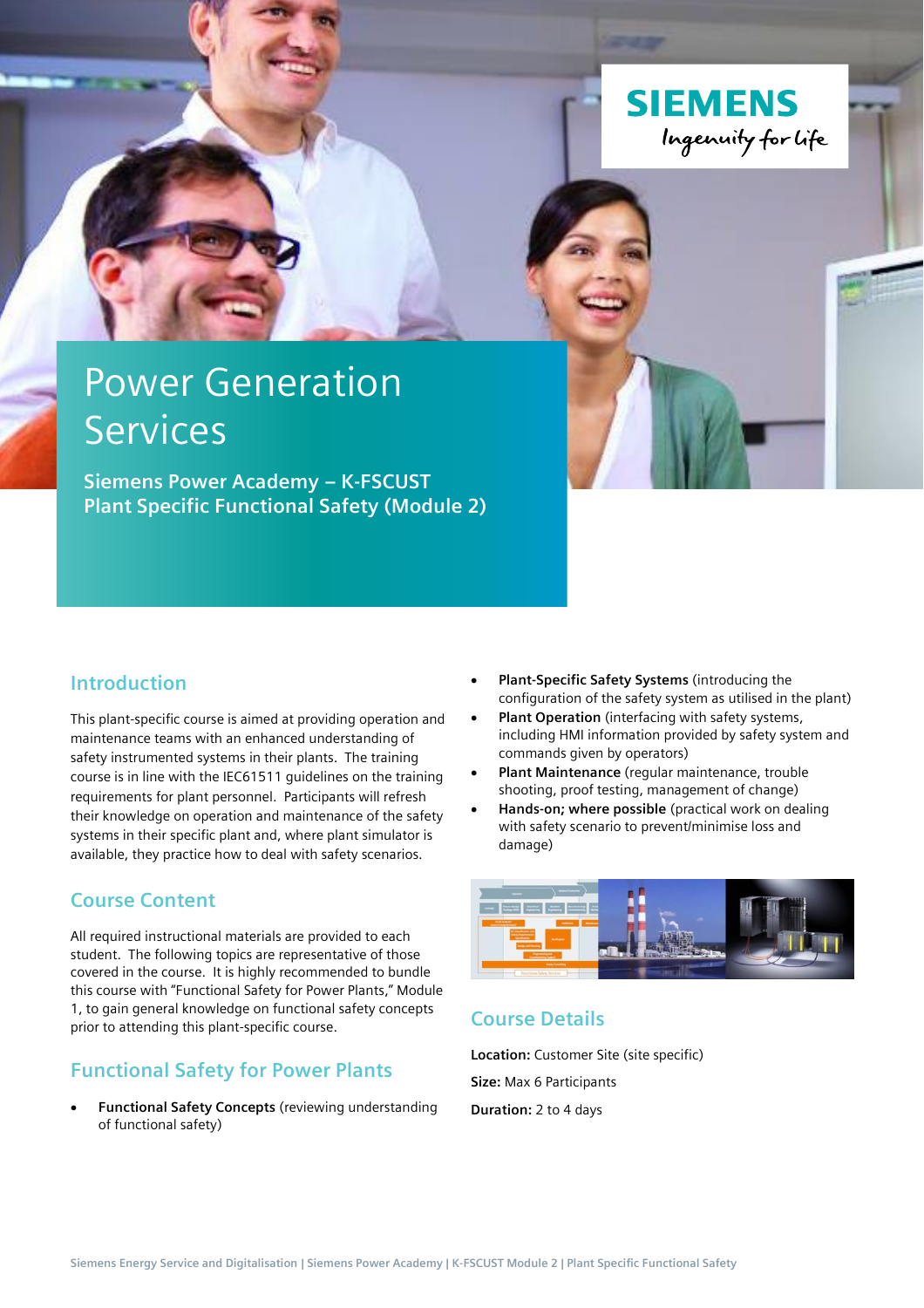

# Power Generation **Services**

**Siemens Power Academy – K-FSCUST Plant Specific Functional Safety (Module 2)**

### **Introduction**

This plant-specific course is aimed at providing operation and maintenance teams with an enhanced understanding of safety instrumented systems in their plants. The training course is in line with the IEC61511 guidelines on the training requirements for plant personnel. Participants will refresh their knowledge on operation and maintenance of the safety systems in their specific plant and, where plant simulator is available, they practice how to deal with safety scenarios.

### **Course Content**

All required instructional materials are provided to each student. The following topics are representative of those covered in the course. It is highly recommended to bundle this course with "Functional Safety for Power Plants," Module 1, to gain general knowledge on functional safety concepts prior to attending this plant-specific course.

### **Functional Safety for Power Plants**

• **Functional Safety Concepts** (reviewing understanding of functional safety)

- **Plant-Specific Safety Systems** (introducing the configuration of the safety system as utilised in the plant)
- **Plant Operation** (interfacing with safety systems, including HMI information provided by safety system and commands given by operators)
- **Plant Maintenance** (regular maintenance, trouble shooting, proof testing, management of change)
- **Hands-on; where possible** (practical work on dealing with safety scenario to prevent/minimise loss and damage)



## **Course Details**

**Location:** Customer Site (site specific) **Size:** Max 6 Participants **Duration:** 2 to 4 days